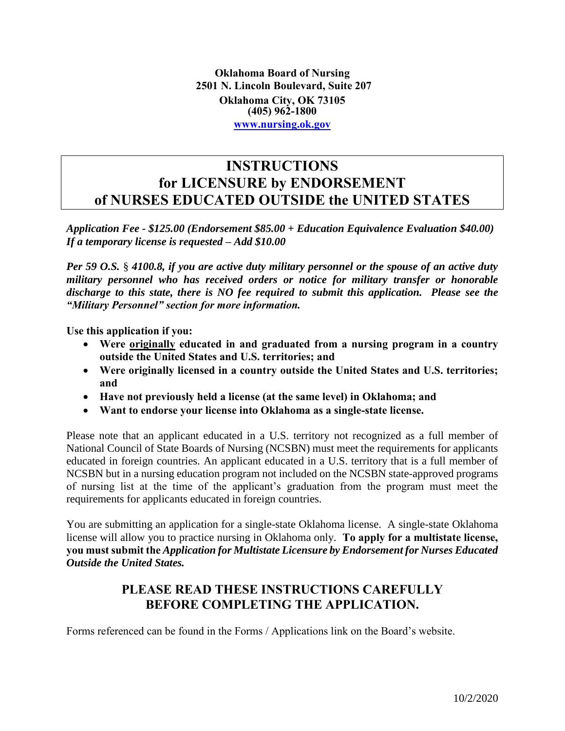**Oklahoma Board of Nursing 2501 N. Lincoln Boulevard, Suite 207 Oklahoma City, OK 73105 (405) 962-1800 [www.nursing.ok.gov](http://www.ok.gov/nursing)**

### **INSTRUCTIONS for LICENSURE by ENDORSEMENT of NURSES EDUCATED OUTSIDE the UNITED STATES**

*Application Fee - \$125.00 (Endorsement \$85.00 + Education Equivalence Evaluation \$40.00) If a temporary license is requested – Add \$10.00* 

 *Per 59 O.S.* § *4100.8, if you are active duty military personnel or the spouse of an active duty discharge to this state, there is NO fee required to submit this application. Please see the military personnel who has received orders or notice for military transfer or honorable "Military Personnel" section for more information.* 

**Use this application if you:** 

- **Were originally educated in and graduated from a nursing program in a country outside the United States and U.S. territories; and**
- **Were originally licensed in a country outside the United States and U.S. territories; and**
- **Have not previously held a license (at the same level) in Oklahoma; and**
- **Want to endorse your license into Oklahoma as a single-state license.**

 National Council of State Boards of Nursing (NCSBN) must meet the requirements for applicants educated in foreign countries. An applicant educated in a U.S. territory that is a full member of NCSBN but in a nursing education program not included on the NCSBN state-approved programs of nursing list at the time of the applicant's graduation from the program must meet the Please note that an applicant educated in a U.S. territory not recognized as a full member of requirements for applicants educated in foreign countries.

 You are submitting an application for a single-state Oklahoma license. A single-state Oklahoma license will allow you to practice nursing in Oklahoma only. **To apply for a multistate license, you must submit the** *Application for Multistate Licensure by Endorsement for Nurses Educated*   *Outside the United States.* 

### **PLEASE READ THESE INSTRUCTIONS CAREFULLY BEFORE COMPLETING THE APPLICATION.**

Forms referenced can be found in the Forms / Applications link on the Board's website.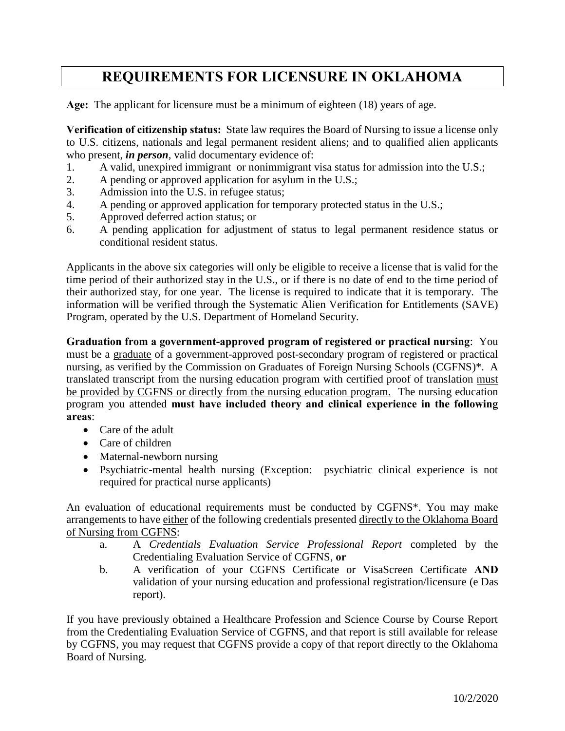# **REQUIREMENTS FOR LICENSURE IN OKLAHOMA**

**Age:** The applicant for licensure must be a minimum of eighteen (18) years of age.

 **Verification of citizenship status:** State law requires the Board of Nursing to issue a license only to U.S. citizens, nationals and legal permanent resident aliens; and to qualified alien applicants who present, *in person*, valid documentary evidence of:

- 1. A valid, unexpired immigrant or nonimmigrant visa status for admission into the U.S.;
- 2. A pending or approved application for asylum in the U.S.;
- 3. Admission into the U.S. in refugee status;
- 4. A pending or approved application for temporary protected status in the U.S.;
- 5. Approved deferred action status; or
- 6. A pending application for adjustment of status to legal permanent residence status or conditional resident status.

 Applicants in the above six categories will only be eligible to receive a license that is valid for the time period of their authorized stay in the U.S., or if there is no date of end to the time period of their authorized stay, for one year. The license is required to indicate that it is temporary. The information will be verified through the Systematic Alien Verification for Entitlements (SAVE) Program, operated by the U.S. Department of Homeland Security.

 **Graduation from a government-approved program of registered or practical nursing**: You must be a graduate of a government-approved post-secondary program of registered or practical nursing, as verified by the Commission on Graduates of Foreign Nursing Schools (CGFNS)\*. A translated transcript from the nursing education program with certified proof of translation must be provided by CGFNS or directly from the nursing education program. The nursing education  program you attended **must have included theory and clinical experience in the following areas**:

- Care of the adult
- Care of children
- Maternal-newborn nursing
- Psychiatric-mental health nursing (Exception: psychiatric clinical experience is not required for practical nurse applicants)

 An evaluation of educational requirements must be conducted by CGFNS\*. You may make arrangements to have either of the following credentials presented directly to the Oklahoma Board of Nursing from CGFNS:

- a. A *Credentials Evaluation Service Professional Report* completed by the Credentialing Evaluation Service of CGFNS, **or**
- b. A verification of your CGFNS Certificate or VisaScreen Certificate **AND**  validation of your nursing education and professional registration/licensure (e Das report).

 If you have previously obtained a Healthcare Profession and Science Course by Course Report from the Credentialing Evaluation Service of CGFNS, and that report is still available for release by CGFNS, you may request that CGFNS provide a copy of that report directly to the Oklahoma Board of Nursing.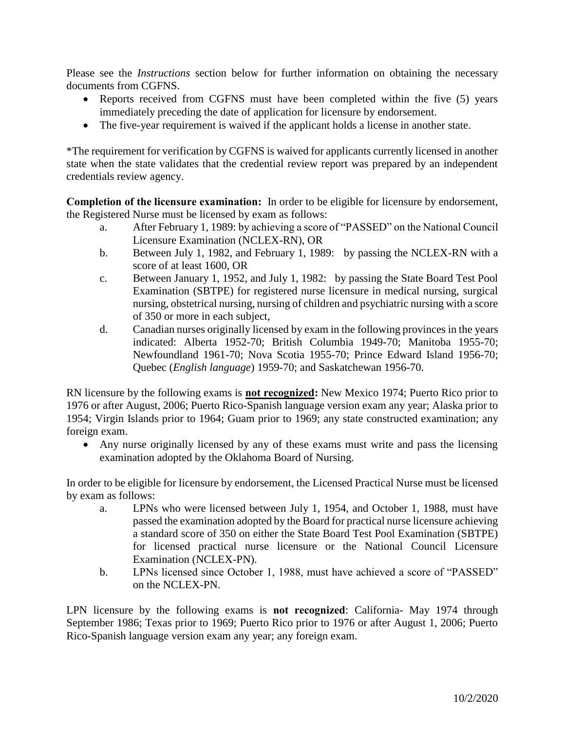Please see the *Instructions* section below for further information on obtaining the necessary documents from CGFNS.

- Reports received from CGFNS must have been completed within the five (5) years immediately preceding the date of application for licensure by endorsement.
- The five-year requirement is waived if the applicant holds a license in another state.

 credentials review agency. \*The requirement for verification by CGFNS is waived for applicants currently licensed in another state when the state validates that the credential review report was prepared by an independent

 **Completion of the licensure examination:** In order to be eligible for licensure by endorsement, the Registered Nurse must be licensed by exam as follows:

- a. After February 1, 1989: by achieving a score of "PASSED" on the National Council Licensure Examination (NCLEX-RN), OR
- b. Between July 1, 1982, and February 1, 1989: by passing the NCLEX-RN with a score of at least 1600, OR
- Examination (SBTPE) for registered nurse licensure in medical nursing, surgical nursing, obstetrical nursing, nursing of children and psychiatric nursing with a score c. Between January 1, 1952, and July 1, 1982: by passing the State Board Test Pool of 350 or more in each subject,
- d. Canadian nurses originally licensed by exam in the following provinces in the years Newfoundland 1961-70; Nova Scotia 1955-70; Prince Edward Island 1956-70; indicated: Alberta 1952-70; British Columbia 1949-70; Manitoba 1955-70; Quebec (*English language*) 1959-70; and Saskatchewan 1956-70.

 RN licensure by the following exams is **not recognized:** New Mexico 1974; Puerto Rico prior to 1976 or after August, 2006; Puerto Rico-Spanish language version exam any year; Alaska prior to 1954; Virgin Islands prior to 1964; Guam prior to 1969; any state constructed examination; any foreign exam.

 Any nurse originally licensed by any of these exams must write and pass the licensing examination adopted by the Oklahoma Board of Nursing.

 In order to be eligible for licensure by endorsement, the Licensed Practical Nurse must be licensed by exam as follows:

- a. LPNs who were licensed between July 1, 1954, and October 1, 1988, must have passed the examination adopted by the Board for practical nurse licensure achieving a standard score of 350 on either the State Board Test Pool Examination (SBTPE) for licensed practical nurse licensure or the National Council Licensure Examination (NCLEX-PN).
- b. LPNs licensed since October 1, 1988, must have achieved a score of "PASSED" on the NCLEX-PN.

 LPN licensure by the following exams is **not recognized**: California- May 1974 through Rico-Spanish language version exam any year; any foreign exam. September 1986; Texas prior to 1969; Puerto Rico prior to 1976 or after August 1, 2006; Puerto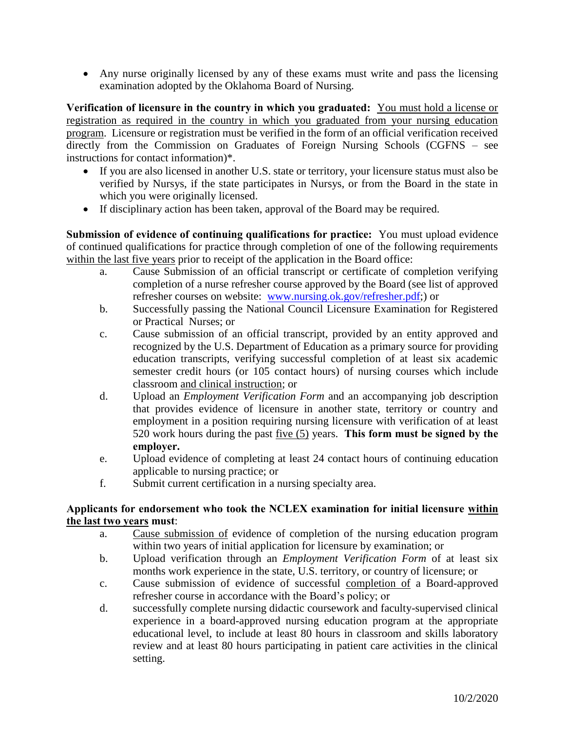Any nurse originally licensed by any of these exams must write and pass the licensing examination adopted by the Oklahoma Board of Nursing.

**Verification of licensure in the country in which you graduated:** You must hold a license or registration as required in the country in which you graduated from your nursing education program. Licensure or registration must be verified in the form of an official verification received directly from the Commission on Graduates of Foreign Nursing Schools (CGFNS – see instructions for contact information)\*.

- If you are also licensed in another U.S. state or territory, your licensure status must also be verified by Nursys, if the state participates in Nursys, or from the Board in the state in which you were originally licensed.
- If disciplinary action has been taken, approval of the Board may be required.

**Submission of evidence of continuing qualifications for practice:** You must upload evidence of continued qualifications for practice through completion of one of the following requirements within the last five years prior to receipt of the application in the Board office:

- a. Cause Submission of an official transcript or certificate of completion verifying completion of a nurse refresher course approved by the Board (see list of approved refresher courses on website: [www.nursing.ok.gov/refresher.pdf;](http://www.ok.gov/nursing/refresher.pdf)) or
- b. Successfully passing the National Council Licensure Examination for Registered or Practical Nurses; or
- c. Cause submission of an official transcript, provided by an entity approved and recognized by the U.S. Department of Education as a primary source for providing education transcripts, verifying successful completion of at least six academic semester credit hours (or 105 contact hours) of nursing courses which include classroom and clinical instruction; or
- d. Upload an *Employment Verification Form* and an accompanying job description that provides evidence of licensure in another state, territory or country and employment in a position requiring nursing licensure with verification of at least 520 work hours during the past five (5) years. **This form must be signed by the employer.**
- e. Upload evidence of completing at least 24 contact hours of continuing education applicable to nursing practice; or
- f. Submit current certification in a nursing specialty area.

#### **Applicants for endorsement who took the NCLEX examination for initial licensure within the last two years must**:

- a. Cause submission of evidence of completion of the nursing education program within two years of initial application for licensure by examination; or
- b. Upload verification through an *Employment Verification Form* of at least six months work experience in the state, U.S. territory, or country of licensure; or
- c. Cause submission of evidence of successful completion of a Board-approved refresher course in accordance with the Board's policy; or
- d. successfully complete nursing didactic coursework and faculty-supervised clinical experience in a board-approved nursing education program at the appropriate educational level, to include at least 80 hours in classroom and skills laboratory review and at least 80 hours participating in patient care activities in the clinical setting.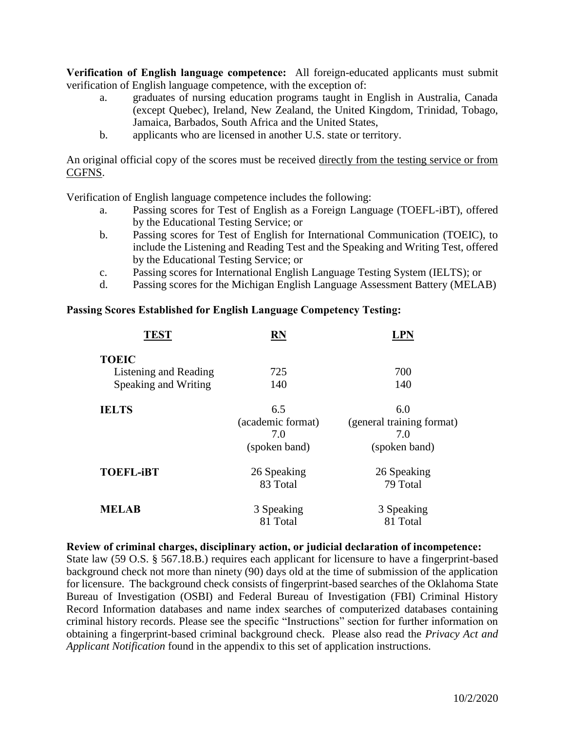**Verification of English language competence:** All foreign-educated applicants must submit verification of English language competence, with the exception of:

- a. graduates of nursing education programs taught in English in Australia, Canada (except Quebec), Ireland, New Zealand, the United Kingdom, Trinidad, Tobago, Jamaica, Barbados, South Africa and the United States,
- b. applicants who are licensed in another U.S. state or territory.

An original official copy of the scores must be received directly from the testing service or from CGFNS.

Verification of English language competence includes the following:

- a. Passing scores for Test of English as a Foreign Language (TOEFL-iBT), offered by the Educational Testing Service; or
- b. Passing scores for Test of English for International Communication (TOEIC), to include the Listening and Reading Test and the Speaking and Writing Test, offered by the Educational Testing Service; or
- c. Passing scores for International English Language Testing System (IELTS); or
- d. Passing scores for the Michigan English Language Assessment Battery (MELAB)

#### **Passing Scores Established for English Language Competency Testing:**

| <b>TEST</b>           | RN                |                           |
|-----------------------|-------------------|---------------------------|
| <b>TOEIC</b>          |                   |                           |
| Listening and Reading | 725               | 700                       |
| Speaking and Writing  | 140               | 140                       |
| <b>IELTS</b>          | 6.5               | 6.0                       |
|                       | (academic format) | (general training format) |
|                       | 7.0               | 7.0                       |
|                       | (spoken band)     | (spoken band)             |
| <b>TOEFL-iBT</b>      | 26 Speaking       | 26 Speaking               |
|                       | 83 Total          | 79 Total                  |
| <b>MELAB</b>          | 3 Speaking        | 3 Speaking                |
|                       | 81 Total          | 81 Total                  |

 State law (59 O.S. § 567.18.B.) requires each applicant for licensure to have a fingerprint-based background check not more than ninety (90) days old at the time of submission of the application for licensure. The background check consists of fingerprint-based searches of the Oklahoma State criminal history records. Please see the specific "Instructions" section for further information on obtaining a fingerprint-based criminal background check. Please also read the *Privacy Act and*  **Review of criminal charges, disciplinary action, or judicial declaration of incompetence:**  Bureau of Investigation (OSBI) and Federal Bureau of Investigation (FBI) Criminal History Record Information databases and name index searches of computerized databases containing *Applicant Notification* found in the appendix to this set of application instructions.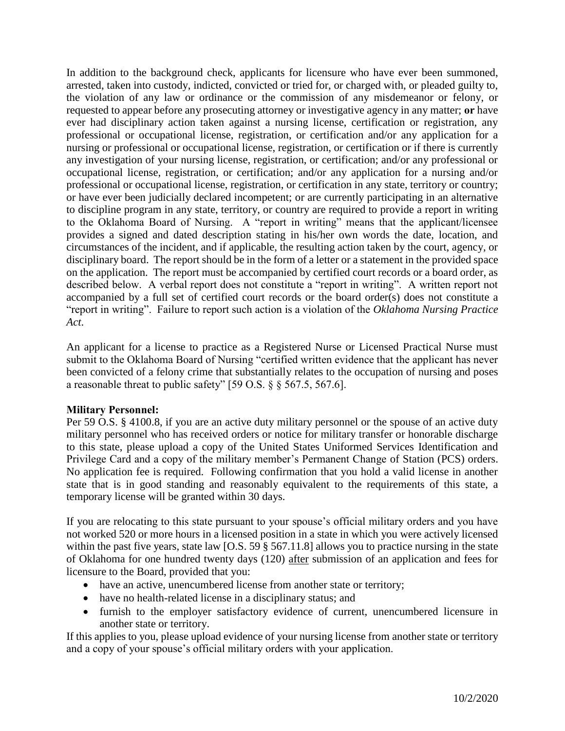In addition to the background check, applicants for licensure who have ever been summoned, requested to appear before any prosecuting attorney or investigative agency in any matter; **or** have ever had disciplinary action taken against a nursing license, certification or registration, any professional or occupational license, registration, or certification and/or any application for a nursing or professional or occupational license, registration, or certification or if there is currently any investigation of your nursing license, registration, or certification; and/or any professional or occupational license, registration, or certification; and/or any application for a nursing and/or or have ever been judicially declared incompetent; or are currently participating in an alternative to discipline program in any state, territory, or country are required to provide a report in writing to the Oklahoma Board of Nursing. A "report in writing" means that the applicant/licensee provides a signed and dated description stating in his/her own words the date, location, and circumstances of the incident, and if applicable, the resulting action taken by the court, agency, or disciplinary board. The report should be in the form of a letter or a statement in the provided space on the application. The report must be accompanied by certified court records or a board order, as described below. A verbal report does not constitute a "report in writing". A written report not accompanied by a full set of certified court records or the board order(s) does not constitute a arrested, taken into custody, indicted, convicted or tried for, or charged with, or pleaded guilty to, the violation of any law or ordinance or the commission of any misdemeanor or felony, or professional or occupational license, registration, or certification in any state, territory or country; "report in writing". Failure to report such action is a violation of the *Oklahoma Nursing Practice Act*.

 An applicant for a license to practice as a Registered Nurse or Licensed Practical Nurse must been convicted of a felony crime that substantially relates to the occupation of nursing and poses submit to the Oklahoma Board of Nursing "certified written evidence that the applicant has never a reasonable threat to public safety" [59 O.S. § § 567.5, 567.6].

#### **Military Personnel:**

 Per 59 O.S. § 4100.8, if you are an active duty military personnel or the spouse of an active duty military personnel who has received orders or notice for military transfer or honorable discharge to this state, please upload a copy of the United States Uniformed Services Identification and Privilege Card and a copy of the military member's Permanent Change of Station (PCS) orders. No application fee is required. Following confirmation that you hold a valid license in another state that is in good standing and reasonably equivalent to the requirements of this state, a temporary license will be granted within 30 days.

 If you are relocating to this state pursuant to your spouse's official military orders and you have not worked 520 or more hours in a licensed position in a state in which you were actively licensed within the past five years, state law [O.S. 59  $\S$  567.11.8] allows you to practice nursing in the state of Oklahoma for one hundred twenty days (120) after submission of an application and fees for licensure to the Board, provided that you:

- have an active, unencumbered license from another state or territory;
- have no health-related license in a disciplinary status; and
- furnish to the employer satisfactory evidence of current, unencumbered licensure in another state or territory.

 If this applies to you, please upload evidence of your nursing license from another state or territory and a copy of your spouse's official military orders with your application.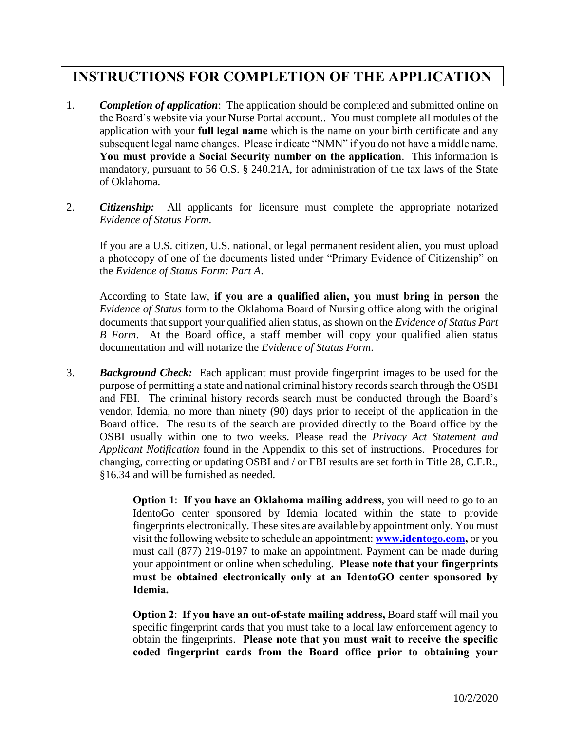## **INSTRUCTIONS FOR COMPLETION OF THE APPLICATION**

- 1. **Completion of application**: The application should be completed and submitted online on the Board's website via your Nurse Portal account.. You must complete all modules of the subsequent legal name changes. Please indicate "NMN" if you do not have a middle name.  **You must provide a Social Security number on the application**. This information is application with your **full legal name** which is the name on your birth certificate and any mandatory, pursuant to 56 O.S. § 240.21A, for administration of the tax laws of the State of Oklahoma.
- **Evidence of Status Form.** 2. *Citizenship:* All applicants for licensure must complete the appropriate notarized

 a photocopy of one of the documents listed under "Primary Evidence of Citizenship" on the Evidence of Status Form: Part A. *Evidence of Status Form*. If you are a U.S. citizen, U.S. national, or legal permanent resident alien, you must upload

the *Evidence of Status Form: Part A*.<br>According to State law, **if you are a qualified alien, you must bring in person** the *Evidence of Status* form to the Oklahoma Board of Nursing office along with the original *B Form*. At the Board office, a staff member will copy your qualified alien status documentation and will notarize the Evidence of Status Form. documents that support your qualified alien status, as shown on the *Evidence of Status Part* 

documentation and will notarize the *Evidence of Status Form*.<br>3. *Background Check:* Each applicant must provide fingerprint images to be used for the purpose of permitting a state and national criminal history records search through the OSBI and FBI. The criminal history records search must be conducted through the Board's vendor, Idemia, no more than ninety (90) days prior to receipt of the application in the Board office. The results of the search are provided directly to the Board office by the OSBI usually within one to two weeks. Please read the *Privacy Act Statement and Applicant Notification* found in the Appendix to this set of instructions. Procedures for changing, correcting or updating OSBI and / or FBI results are set forth in Title 28, C.F.R., §16.34 and will be furnished as needed.

> **Option 1: If you have an Oklahoma mailing address, you will need to go to an**  IdentoGo center sponsored by Idemia located within the state to provide fingerprints electronically. These sites are available by appointment only. You must visit the following website to schedule an appointment: **[www.identogo.com,](http://www.identogo.com/)** or you must call (877) 219-0197 to make an appointment. Payment can be made during  **must be obtained electronically only at an IdentoGO center sponsored by**  Idemia. your appointment or online when scheduling. **Please note that your fingerprints**

> **Idemia.**<br>Option 2: **If you have an out-of-state mailing address,** Board staff will mail you specific fingerprint cards that you must take to a local law enforcement agency to  obtain the fingerprints. **Please note that you must wait to receive the specific coded fingerprint cards from the Board office prior to obtaining your**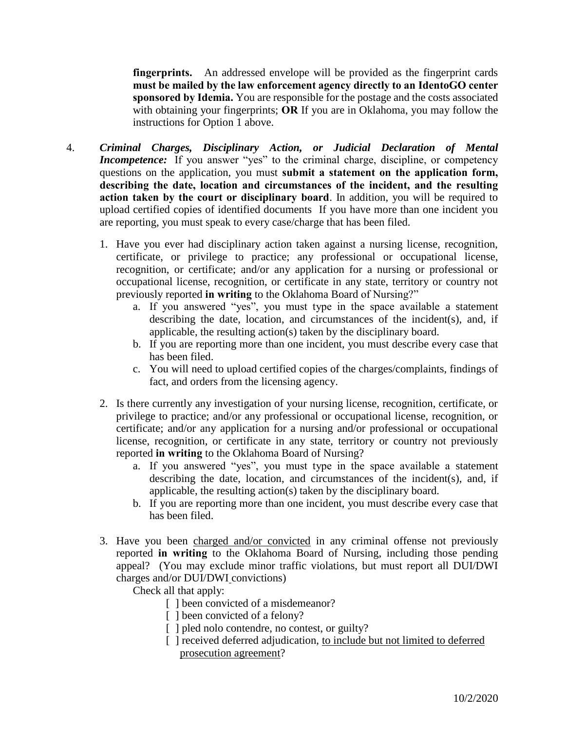**fingerprints.** An addressed envelope will be provided as the fingerprint cards  **must be mailed by the law enforcement agency directly to an IdentoGO center sponsored by Idemia.** You are responsible for the postage and the costs associated with obtaining your fingerprints; **OR** If you are in Oklahoma, you may follow the instructions for Option 1 above.

- *Incompetence:* If you answer "yes" to the criminal charge, discipline, or competency  questions on the application, you must **submit a statement on the application form, describing the date, location and circumstances of the incident, and the resulting action taken by the court or disciplinary board**. In addition, you will be required to upload certified copies of identified documents If you have more than one incident you 4. Criminal Charges, Disciplinary Action, or Judicial Declaration of Mental are reporting, you must speak to every case/charge that has been filed.
	- 1. Have you ever had disciplinary action taken against a nursing license, recognition, recognition, or certificate; and/or any application for a nursing or professional or occupational license, recognition, or certificate in any state, territory or country not certificate, or privilege to practice; any professional or occupational license, previously reported **in writing** to the Oklahoma Board of Nursing?"
		- a. If you answered "yes", you must type in the space available a statement describing the date, location, and circumstances of the incident(s), and, if applicable, the resulting action(s) taken by the disciplinary board.
		- b. If you are reporting more than one incident, you must describe every case that has been filed.
		- c. You will need to upload certified copies of the charges/complaints, findings of fact, and orders from the licensing agency.
	- 2. Is there currently any investigation of your nursing license, recognition, certificate, or certificate; and/or any application for a nursing and/or professional or occupational license, recognition, or certificate in any state, territory or country not previously reported in writing to the Oklahoma Board of Nursing? privilege to practice; and/or any professional or occupational license, recognition, or
		- reported **in writing** to the Oklahoma Board of Nursing?<br>a. If you answered "yes", you must type in the space available a statement describing the date, location, and circumstances of the incident(s), and, if applicable, the resulting action(s) taken by the disciplinary board.
			- b. If you are reporting more than one incident, you must describe every case that has been filed.
	- reported **in writing** to the Oklahoma Board of Nursing, including those pending appeal? (You may exclude minor traffic violations, but must report all DUI/DWI 3. Have you been charged and/or convicted in any criminal offense not previously charges and/or DUI/DWI convictions)

Check all that apply:

- [] been convicted of a misdemeanor?
- [ ] been convicted of a felony?
- [ ] pled nolo contendre, no contest, or guilty?
- [ ] received deferred adjudication, to include but not limited to deferred prosecution agreement?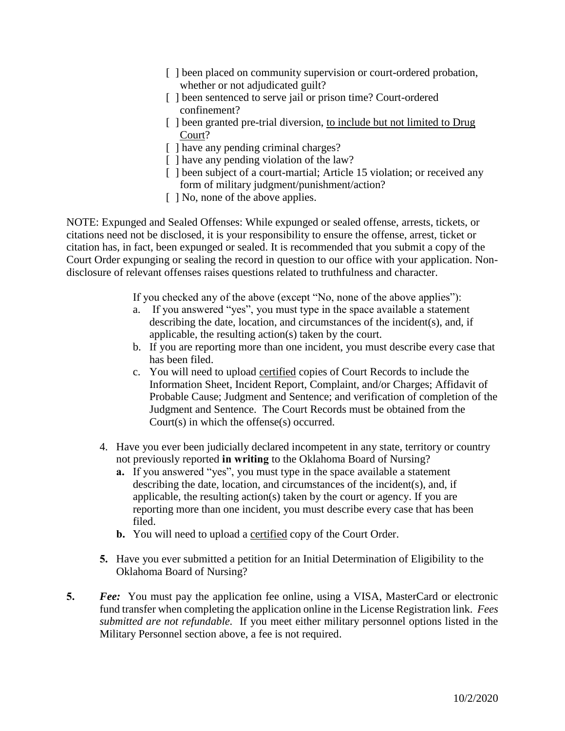- [] been placed on community supervision or court-ordered probation, whether or not adjudicated guilt?
- [ ] been sentenced to serve jail or prison time? Court-ordered confinement?
- [ ] been granted pre-trial diversion, to include but not limited to Drug Court?
- [ ] have any pending criminal charges?
- [ ] have any pending violation of the law?
- [ ] been subject of a court-martial; Article 15 violation; or received any form of military judgment/punishment/action?
- [  $\vert$  No, none of the above applies.

NOTE: Expunged and Sealed Offenses: While expunged or sealed offense, arrests, tickets, or citations need not be disclosed, it is your responsibility to ensure the offense, arrest, ticket or citation has, in fact, been expunged or sealed. It is recommended that you submit a copy of the Court Order expunging or sealing the record in question to our office with your application. Nondisclosure of relevant offenses raises questions related to truthfulness and character.

If you checked any of the above (except "No, none of the above applies"):

- a. If you answered "yes", you must type in the space available a statement describing the date, location, and circumstances of the incident(s), and, if applicable, the resulting action(s) taken by the court.
- b. If you are reporting more than one incident, you must describe every case that has been filed.
- c. You will need to upload certified copies of Court Records to include the Information Sheet, Incident Report, Complaint, and/or Charges; Affidavit of Probable Cause; Judgment and Sentence; and verification of completion of the Judgment and Sentence. The Court Records must be obtained from the Court(s) in which the offense(s) occurred.
- 4. Have you ever been judicially declared incompetent in any state, territory or country not previously reported **in writing** to the Oklahoma Board of Nursing?
	- **a.** If you answered "yes", you must type in the space available a statement describing the date, location, and circumstances of the incident(s), and, if applicable, the resulting action(s) taken by the court or agency. If you are reporting more than one incident, you must describe every case that has been filed.
	- **b.** You will need to upload a certified copy of the Court Order.
- **5.** Have you ever submitted a petition for an Initial Determination of Eligibility to the Oklahoma Board of Nursing?
- **5.** *Fee:* You must pay the application fee online, using a VISA, MasterCard or electronic fund transfer when completing the application online in the License Registration link. *Fees submitted are not refundable.* If you meet either military personnel options listed in the Military Personnel section above, a fee is not required.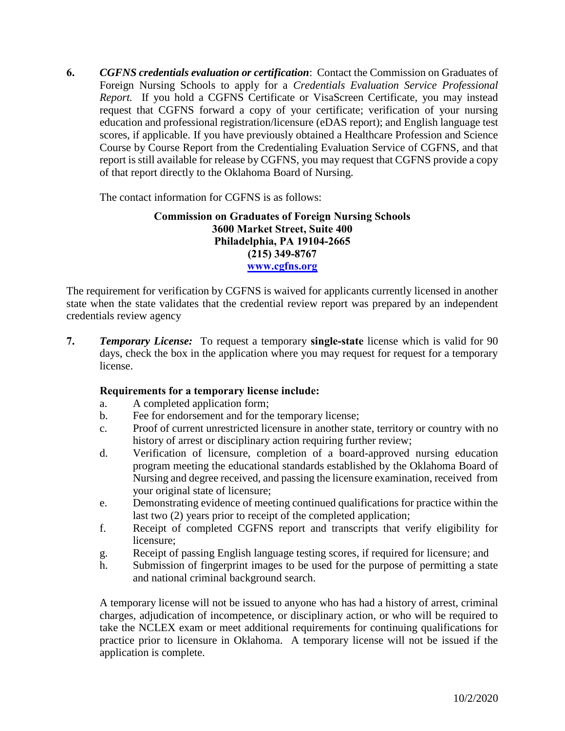Foreign Nursing Schools to apply for a *Credentials Evaluation Service Professional*  request that CGFNS forward a copy of your certificate; verification of your nursing education and professional registration/licensure (eDAS report); and English language test Course by Course Report from the Credentialing Evaluation Service of CGFNS, and that report is still available for release by CGFNS, you may request that CGFNS provide a copy **6.** *CGFNS credentials evaluation or certification*: Contact the Commission on Graduates of *Report.* If you hold a CGFNS Certificate or VisaScreen Certificate, you may instead scores, if applicable. If you have previously obtained a Healthcare Profession and Science of that report directly to the Oklahoma Board of Nursing.

The contact information for CGFNS is as follows:

#### **Commission on Graduates of Foreign Nursing Schools 3600 Market Street, Suite 400 Philadelphia, PA 19104-2665 (215) 349-8767 [www.cgfns.org](http://www.cgfns.org/)**

 The requirement for verification by CGFNS is waived for applicants currently licensed in another state when the state validates that the credential review report was prepared by an independent credentials review agency

 **7.** *Temporary License:* To request a temporary **single-state** license which is valid for 90 days, check the box in the application where you may request for request for a temporary license.

#### **Requirements for a temporary license include:**

- a. A completed application form;
- b. Fee for endorsement and for the temporary license;
- c. Proof of current unrestricted licensure in another state, territory or country with no history of arrest or disciplinary action requiring further review;
- Nursing and degree received, and passing the licensure examination, received from d. Verification of licensure, completion of a board-approved nursing education program meeting the educational standards established by the Oklahoma Board of your original state of licensure;
- e. Demonstrating evidence of meeting continued qualifications for practice within the last two (2) years prior to receipt of the completed application;
- f. Receipt of completed CGFNS report and transcripts that verify eligibility for licensure;
- g. Receipt of passing English language testing scores, if required for licensure; and
- h. Submission of fingerprint images to be used for the purpose of permitting a state and national criminal background search.

 A temporary license will not be issued to anyone who has had a history of arrest, criminal charges, adjudication of incompetence, or disciplinary action, or who will be required to take the NCLEX exam or meet additional requirements for continuing qualifications for practice prior to licensure in Oklahoma. A temporary license will not be issued if the application is complete.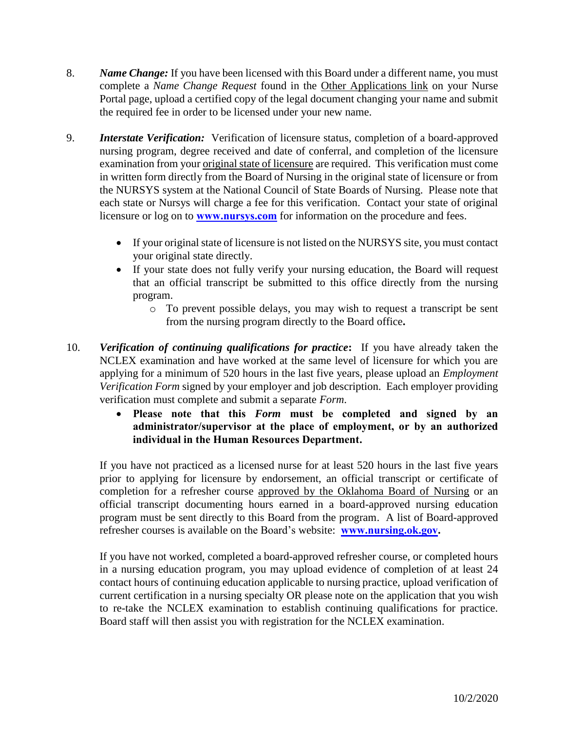- 8. *Name Change:* If you have been licensed with this Board under a different name, you must complete a *Name Change Request* found in the Other Applications link on your Nurse Portal page, upload a certified copy of the legal document changing your name and submit the required fee in order to be licensed under your new name.
- 9. *Interstate Verification:* Verification of licensure status, completion of a board-approved nursing program, degree received and date of conferral, and completion of the licensure examination from your original state of licensure are required. This verification must come in written form directly from the Board of Nursing in the original state of licensure or from the NURSYS system at the National Council of State Boards of Nursing. Please note that each state or Nursys will charge a fee for this verification. Contact your state of original licensure or log on to **[www.nursys.com](http://www.nursys.com/)** for information on the procedure and fees.
	- If your original state of licensure is not listed on the NURSYS site, you must contact your original state directly.
	- If your state does not fully verify your nursing education, the Board will request that an official transcript be submitted to this office directly from the nursing program.
		- o To prevent possible delays, you may wish to request a transcript be sent from the nursing program directly to the Board office**.**
- 10. *Verification of continuing qualifications for practice***:** If you have already taken the NCLEX examination and have worked at the same level of licensure for which you are applying for a minimum of 520 hours in the last five years, please upload an *Employment Verification Form* signed by your employer and job description. Each employer providing verification must complete and submit a separate *Form*.
	- **Please note that this** *Form* **must be completed and signed by an administrator/supervisor at the place of employment, or by an authorized individual in the Human Resources Department.**

 If you have not practiced as a licensed nurse for at least 520 hours in the last five years prior to applying for licensure by endorsement, an official transcript or certificate of completion for a refresher course approved by the Oklahoma Board of Nursing or an official transcript documenting hours earned in a board-approved nursing education program must be sent directly to this Board from the program. A list of Board-approved refresher courses is available on the Board's website: **[www.nursing.ok.gov.](http://www.ok.gov/nursing)** 

 in a nursing education program, you may upload evidence of completion of at least 24 contact hours of continuing education applicable to nursing practice, upload verification of current certification in a nursing specialty OR please note on the application that you wish to re-take the NCLEX examination to establish continuing qualifications for practice. If you have not worked, completed a board-approved refresher course, or completed hours Board staff will then assist you with registration for the NCLEX examination.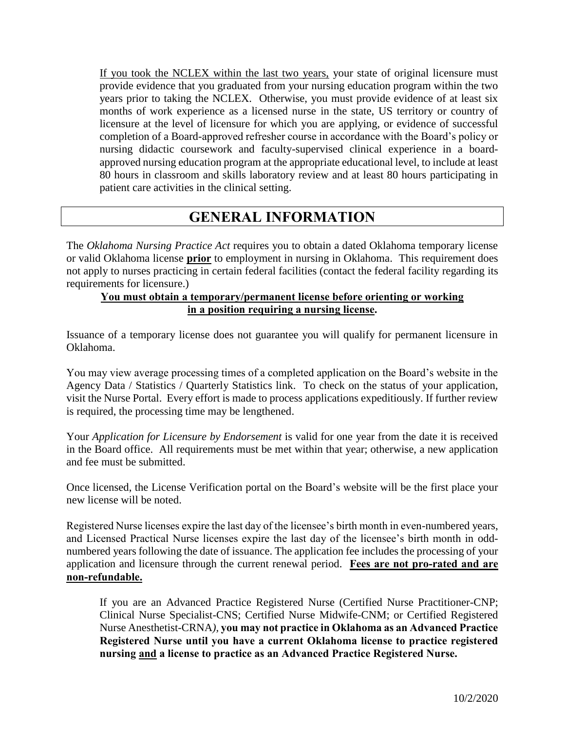If you took the NCLEX within the last two years, your state of original licensure must years prior to taking the NCLEX. Otherwise, you must provide evidence of at least six months of work experience as a licensed nurse in the state, US territory or country of licensure at the level of licensure for which you are applying, or evidence of successful completion of a Board-approved refresher course in accordance with the Board's policy or nursing didactic coursework and faculty-supervised clinical experience in a boardprovide evidence that you graduated from your nursing education program within the two approved nursing education program at the appropriate educational level, to include at least 80 hours in classroom and skills laboratory review and at least 80 hours participating in patient care activities in the clinical setting.

## **GENERAL INFORMATION**

 The *Oklahoma Nursing Practice Act* requires you to obtain a dated Oklahoma temporary license or valid Oklahoma license **prior** to employment in nursing in Oklahoma. This requirement does not apply to nurses practicing in certain federal facilities (contact the federal facility regarding its requirements for licensure.)

#### **You must obtain a temporary/permanent license before orienting or working in a position requiring a nursing license.**

 Issuance of a temporary license does not guarantee you will qualify for permanent licensure in Oklahoma.

 visit the Nurse Portal. Every effort is made to process applications expeditiously. If further review is required, the processing time may be lengthened. You may view average processing times of a completed application on the Board's website in the Agency Data / Statistics / Quarterly Statistics link. To check on the status of your application,

 is required, the processing time may be lengthened. Your *Application for Licensure by Endorsement* is valid for one year from the date it is received in the Board office. All requirements must be met within that year; otherwise, a new application and fee must be submitted.

 Once licensed, the License Verification portal on the Board's website will be the first place your new license will be noted.

 Registered Nurse licenses expire the last day of the licensee's birth month in even-numbered years, and Licensed Practical Nurse licenses expire the last day of the licensee's birth month in odd- numbered years following the date of issuance. The application fee includes the processing of your  application and licensure through the current renewal period. **Fees are not pro-rated and are non-refundable.** 

 If you are an Advanced Practice Registered Nurse (Certified Nurse Practitioner-CNP;  Nurse Anesthetist-CRNA*),* **you may not practice in Oklahoma as an Advanced Practice Registered Nurse until you have a current Oklahoma license to practice registered**  Clinical Nurse Specialist-CNS; Certified Nurse Midwife-CNM; or Certified Registered **nursing and a license to practice as an Advanced Practice Registered Nurse.**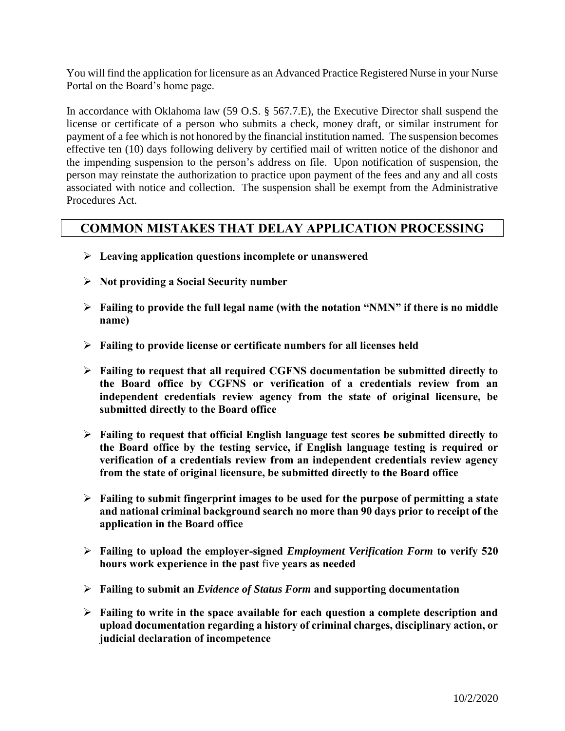You will find the application for licensure as an Advanced Practice Registered Nurse in your Nurse Portal on the Board's home page.

 payment of a fee which is not honored by the financial institution named. The suspension becomes effective ten (10) days following delivery by certified mail of written notice of the dishonor and person may reinstate the authorization to practice upon payment of the fees and any and all costs associated with notice and collection. The suspension shall be exempt from the Administrative In accordance with Oklahoma law (59 O.S. § 567.7.E), the Executive Director shall suspend the license or certificate of a person who submits a check, money draft, or similar instrument for the impending suspension to the person's address on file. Upon notification of suspension, the Procedures Act.

### **COMMON MISTAKES THAT DELAY APPLICATION PROCESSING**

- **Leaving application questions incomplete or unanswered**
- **Not providing a Social Security number**
- **Failing to provide the full legal name (with the notation "NMN" if there is no middle name)**
- **Failing to provide license or certificate numbers for all licenses held**
- **Failing to request that all required CGFNS documentation be submitted directly to the Board office by CGFNS or verification of a credentials review from an independent credentials review agency from the state of original licensure, be submitted directly to the Board office**
- **Failing to request that official English language test scores be submitted directly to the Board office by the testing service, if English language testing is required or verification of a credentials review from an independent credentials review agency from the state of original licensure, be submitted directly to the Board office**
- **Failing to submit fingerprint images to be used for the purpose of permitting a state and national criminal background search no more than 90 days prior to receipt of the application in the Board office**
- **Failing to upload the employer-signed** *Employment Verification Form* **to verify 520 hours work experience in the past** five **years as needed**
- **Failing to submit an** *Evidence of Status Form* **and supporting documentation**
- **Failing to write in the space available for each question a complete description and upload documentation regarding a history of criminal charges, disciplinary action, or judicial declaration of incompetence**